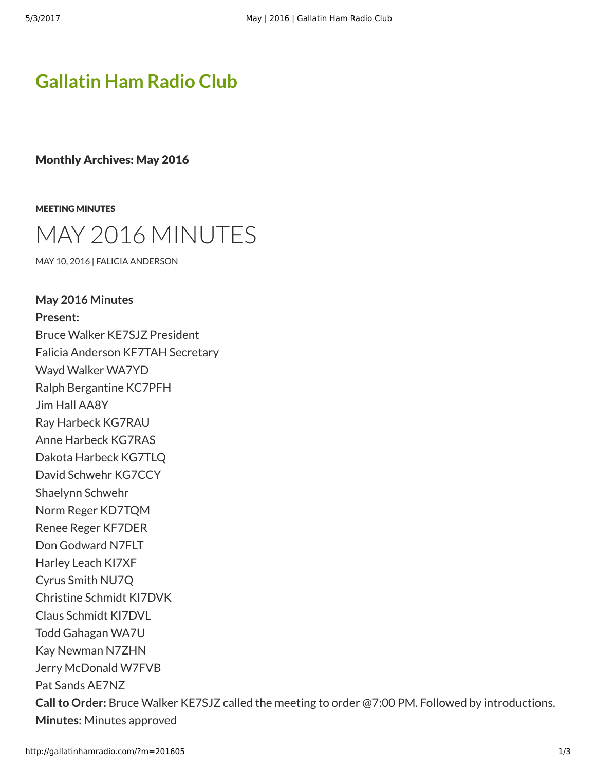# **[Gallatin Ham Radio Club](http://gallatinhamradio.com/)**

Monthly Archives: May 2016

[MEETING MINUTES](http://gallatinhamradio.com/?cat=2)



[MAY 10, 2016](http://gallatinhamradio.com/?p=370) | [FALICIA ANDERSON](http://gallatinhamradio.com/?author=2)

**May 2016 Minutes Present:** Bruce Walker KE7SJZ President Falicia Anderson KF7TAH Secretary Wayd Walker WA7YD Ralph Bergantine KC7PFH Jim Hall AA8Y Ray Harbeck KG7RAU Anne Harbeck KG7RAS Dakota Harbeck KG7TLQ David Schwehr KG7CCY Shaelynn Schwehr Norm Reger KD7TQM Renee Reger KF7DER Don Godward N7FLT Harley Leach KI7XF Cyrus Smith NU7Q Christine Schmidt KI7DVK Claus Schmidt KI7DVL Todd Gahagan WA7U Kay Newman N7ZHN Jerry McDonald W7FVB Pat Sands AE7NZ **Call to Order:** Bruce Walker KE7SJZ called the meeting to order @7:00 PM. Followed by introductions. **Minutes:** Minutes approved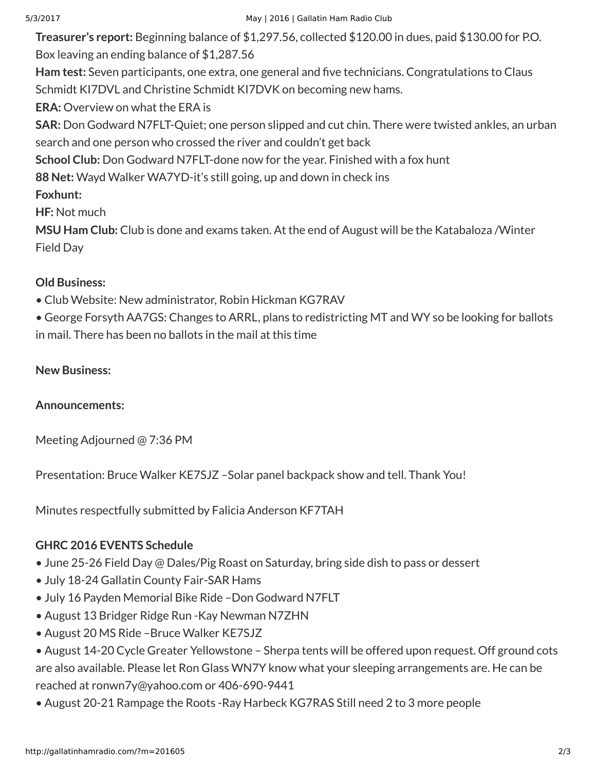**Treasurer's report:** Beginning balance of \$1,297.56, collected \$120.00 in dues, paid \$130.00 for P.O. Box leaving an ending balance of \$1,287.56

Ham test: Seven participants, one extra, one general and five technicians. Congratulations to Claus Schmidt KI7DVL and Christine Schmidt KI7DVK on becoming new hams.

**ERA:** Overview on what the ERA is

**SAR:** Don Godward N7FLT-Quiet; one person slipped and cut chin. There were twisted ankles, an urban search and one person who crossed the river and couldn't get back

**School Club:** Don Godward N7FLT-done now for the year. Finished with a fox hunt

**88 Net:** Wayd Walker WA7YD-it's still going, up and down in check ins

**Foxhunt:**

**HF:** Not much

**MSU Ham Club:** Club is done and exams taken. At the end of August will be the Katabaloza /Winter Field Day

### **Old Business:**

- Club Website: New administrator, Robin Hickman KG7RAV
- George Forsyth AA7GS: Changes to ARRL, plans to redistricting MT and WY so be looking for ballots in mail. There has been no ballots in the mail at this time

#### **New Business:**

#### **Announcements:**

Meeting Adjourned @ 7:36 PM

Presentation: Bruce Walker KE7SJZ –Solar panel backpack show and tell. Thank You!

Minutes respectfully submitted by Falicia Anderson KF7TAH

## **GHRC 2016 EVENTS Schedule**

- June 25-26 Field Day @ Dales/Pig Roast on Saturday, bring side dish to pass or dessert
- July 18-24 Gallatin County Fair-SAR Hams
- July 16 Payden Memorial Bike Ride –Don Godward N7FLT
- August 13 Bridger Ridge Run -Kay Newman N7ZHN
- August 20 MS Ride –Bruce Walker KE7SJZ
- August 14-20 Cycle Greater Yellowstone Sherpa tents will be offered upon request. Off ground cots are also available. Please let Ron Glass WN7Y know what your sleeping arrangements are. He can be reached at ronwn7y@yahoo.com or 406-690-9441
- August 20-21 Rampage the Roots -Ray Harbeck KG7RAS Still need 2 to 3 more people